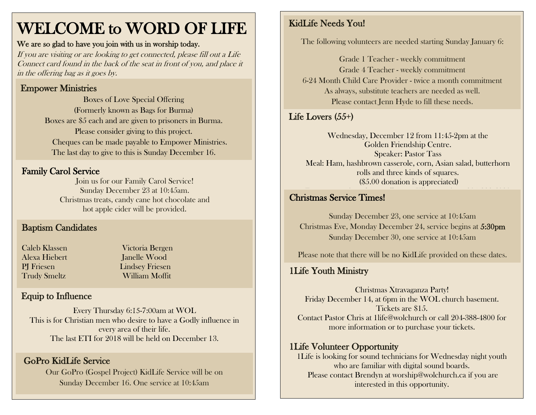# WELCOME to WORD OF LIFE

#### We are so glad to have you join with us in worship today.

If you are visiting or are looking to get connected, please fill out a Life Connect card found in the back of the seat in front of you, and place it in the offering bag as it goes by.

## Empower Ministries

Boxes of Love Special Offering (Formerly known as Bags for Burma) Boxes are \$5 each and are given to prisoners in Burma. Please consider giving to this project. Cheques can be made payable to Empower Ministries. The last day to give to this is Sunday December 16.

## Family Carol Service

Join us for our Family Carol Service! Sunday December 23 at 10:45am. Christmas treats, candy cane hot chocolate and hot apple cider will be provided.

## Baptism Candidates

| Caleb Klassen       |
|---------------------|
| Alexa Hiebert       |
| <b>PI</b> Friesen   |
| <b>Trudy Smeltz</b> |

Victoria Bergen **Ianelle Wood Lindsey Friesen** William Moffit

## Equip to Influence

Every Thursday 6:15-7:00am at WOL This is for Christian men who desire to have a Godly influence in every area of their life. The last ETI for 2018 will be held on December 13.

## GoPro KidLife Service

Our GoPro (Gospel Project) KidLife Service will be on Sunday December 16. One service at 10:45am

## KidLife Needs You!

The following volunteers are needed starting Sunday January 6:

Grade 1 Teacher - weekly commitment Grade 4 Teacher - weekly commitment 6-24 Month Child Care Provider - twice a month commitment As always, substitute teachers are needed as well. Please contact Jenn Hyde to fill these needs.

## Life Lovers (55+)

Wednesday, December 12 from 11:45-2pm at the Golden Friendship Centre. Speaker: Pastor Tass Meal: Ham, hashbrown casserole, corn, Asian salad, butterhorn rolls and three kinds of squares. (\$5.00 donation is appreciated)

#### $\mathcal{F}_{\mathcal{A}}$  reservation please call Anne Klippenstein at 204-388-6080  $\mathcal{A}$ Christmas Service Times!

Sunday December 23, one service at 10:45am Christmas Eve, Monday December 24, service begins at 5:30pm Sunday December 30, one service at 10:45am

Please note that there will be no KidLife provided on these dates.

## 1Life Youth Ministry

Christmas Xtravaganza Party! Friday December 14, at 6pm in the WOL church basement. Tickets are \$15. Contact Pastor Chris at 1life@wolchurch or call 204-388-4800 for more information or to purchase your tickets.

#### 1Life Volunteer Opportunity

1Life is looking for sound technicians for Wednesday night youth who are familiar with digital sound boards. Please contact Brendyn at worship@wolchurch.ca if you are interested in this opportunity.